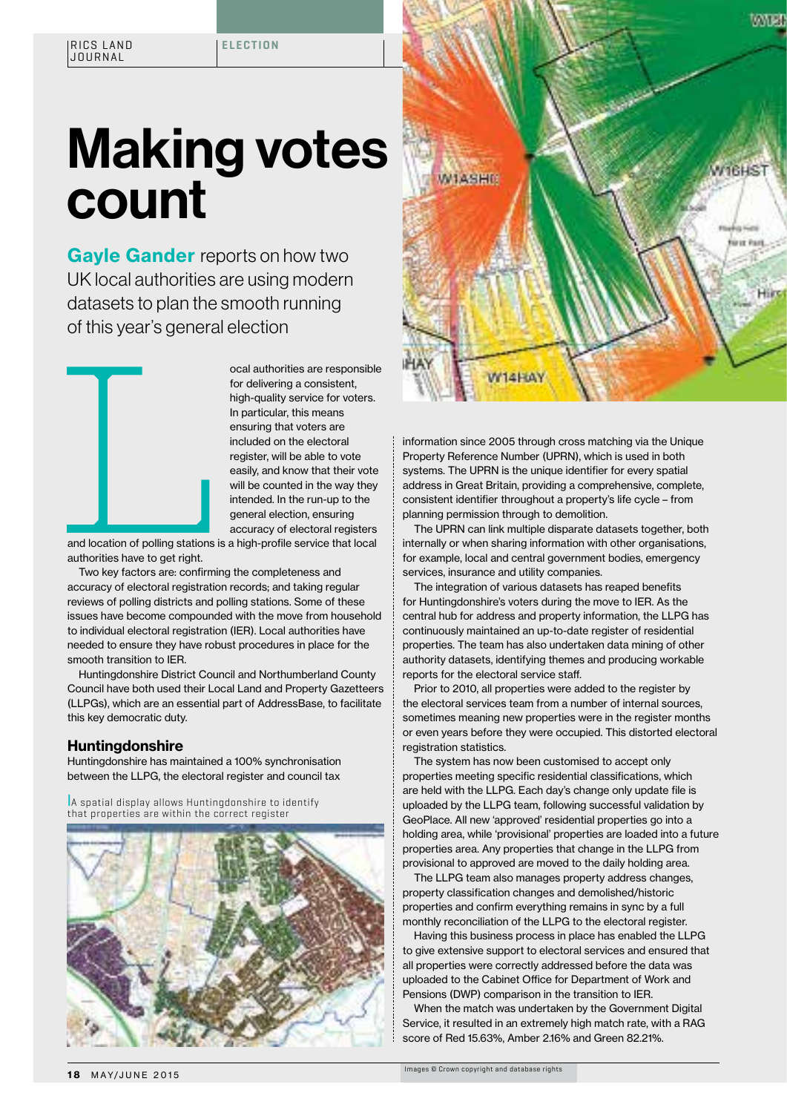## Making votes count

Gayle Gander reports on how two UK local authorities are using modern datasets to plan the smooth running of this year's general election



Collis year's general election<br>
ocal authorities are responsible<br>
for delivering a consistent,<br>
thigh-quality service for voters.<br>
In particular, this means<br>
ensuring that voters are<br>
included on the electoral<br>
register, w for delivering a consistent, high-quality service for voters. In particular, this means ensuring that voters are included on the electoral register, will be able to vote easily, and know that their vote will be counted in the way they intended. In the run-up to the general election, ensuring accuracy of electoral registers

and location of polling stations is a high-profile service that local authorities have to get right.

Two key factors are: confirming the completeness and accuracy of electoral registration records; and taking regular reviews of polling districts and polling stations. Some of these issues have become compounded with the move from household to individual electoral registration (IER). Local authorities have needed to ensure they have robust procedures in place for the smooth transition to IER.

Huntingdonshire District Council and Northumberland County Council have both used their Local Land and Property Gazetteers (LLPGs), which are an essential part of AddressBase, to facilitate this key democratic duty.

## Huntingdonshire

Huntingdonshire has maintained a 100% synchronisation between the LLPG, the electoral register and council tax

l A spatial display allows Huntingdonshire to identify that properties are within the correct register





information since 2005 through cross matching via the Unique Property Reference Number (UPRN), which is used in both systems. The UPRN is the unique identifier for every spatial address in Great Britain, providing a comprehensive, complete, consistent identifier throughout a property's life cycle – from planning permission through to demolition.

The UPRN can link multiple disparate datasets together, both internally or when sharing information with other organisations, for example, local and central government bodies, emergency services, insurance and utility companies.

The integration of various datasets has reaped benefits for Huntingdonshire's voters during the move to IER. As the central hub for address and property information, the LLPG has continuously maintained an up-to-date register of residential properties. The team has also undertaken data mining of other authority datasets, identifying themes and producing workable reports for the electoral service staff.

Prior to 2010, all properties were added to the register by the electoral services team from a number of internal sources, sometimes meaning new properties were in the register months or even years before they were occupied. This distorted electoral registration statistics.

The system has now been customised to accept only properties meeting specific residential classifications, which are held with the LLPG. Each day's change only update file is uploaded by the LLPG team, following successful validation by GeoPlace. All new 'approved' residential properties go into a holding area, while 'provisional' properties are loaded into a future properties area. Any properties that change in the LLPG from provisional to approved are moved to the daily holding area.

The LLPG team also manages property address changes, property classification changes and demolished/historic properties and confirm everything remains in sync by a full monthly reconciliation of the LLPG to the electoral register.

Having this business process in place has enabled the LLPG to give extensive support to electoral services and ensured that all properties were correctly addressed before the data was uploaded to the Cabinet Office for Department of Work and Pensions (DWP) comparison in the transition to IER.

When the match was undertaken by the Government Digital Service, it resulted in an extremely high match rate, with a RAG score of Red 15.63%, Amber 2.16% and Green 82.21%.